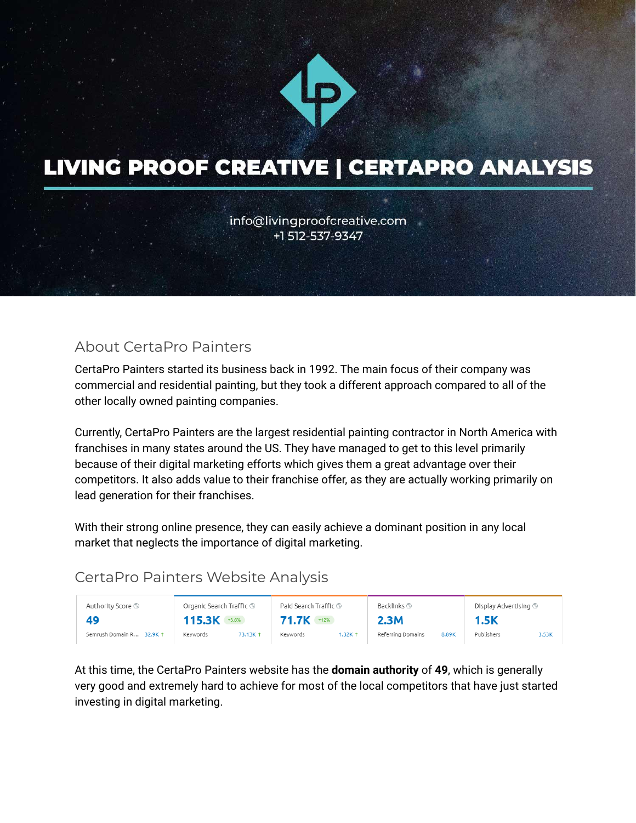

# **LIVING PROOF CREATIVE | CERTAPRO ANALYSIS**

info@livingproofcreative.com +1 512-537-9347

### About CertaPro Painters

CertaPro Painters started its business back in 1992. The main focus of their company was commercial and residential painting, but they took a different approach compared to all of the other locally owned painting companies.

Currently, CertaPro Painters are the largest residential painting contractor in North America with franchises in many states around the US. They have managed to get to this level primarily because of their digital marketing efforts which gives them a great advantage over their competitors. It also adds value to their franchise offer, as they are actually working primarily on lead generation for their franchises.

With their strong online presence, they can easily achieve a dominant position in any local market that neglects the importance of digital marketing.

#### CertaPro Painters Website Analysis

| Authority Score <sup>1</sup> | Organic Search Traffic ⑤ | Paid Search Traffic ® | Backlinks <sup>(5)</sup>   | Display Advertising <b>S</b> |
|------------------------------|--------------------------|-----------------------|----------------------------|------------------------------|
| 49                           | 115.3K<br>$+3.6%$        | 71.7K +12%            | 2.3M                       | 1.5K                         |
| Semrush Domain R<br>32.9K 1  | Keywords<br>73.13K 1     | Keywords<br>1.32K 1   | Referring Domains<br>8.89K | Publishers<br>3.53K          |

At this time, the CertaPro Painters website has the **domain authority** of **49**, which is generally very good and extremely hard to achieve for most of the local competitors that have just started investing in digital marketing.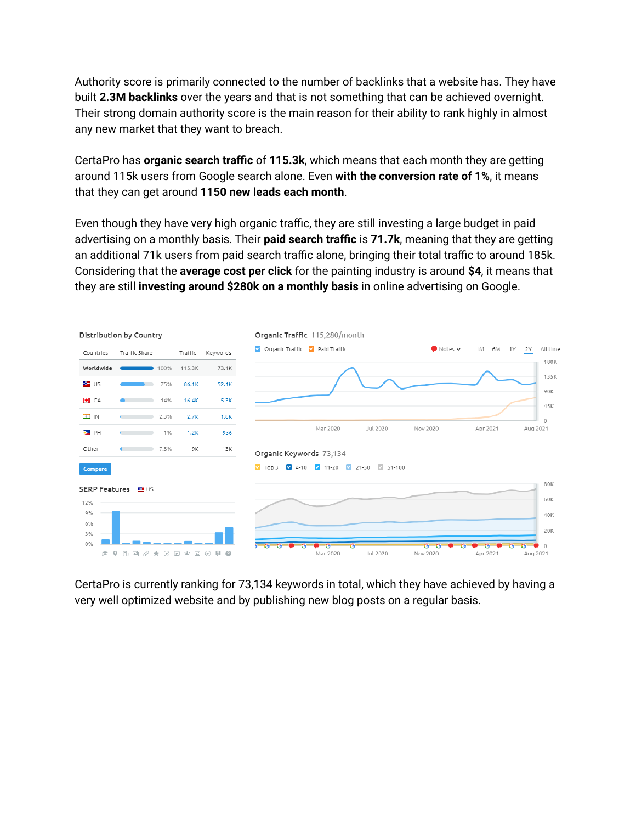Authority score is primarily connected to the number of backlinks that a website has. They have built **2.3M backlinks** over the years and that is not something that can be achieved overnight. Their strong domain authority score is the main reason for their ability to rank highly in almost any new market that they want to breach.

CertaPro has **organic search traffic** of **115.3k**, which means that each month they are getting around 115k users from Google search alone. Even **with the conversion rate of 1%**, it means that they can get around **1150 new leads each month**.

Even though they have very high organic traffic, they are still investing a large budget in paid advertising on a monthly basis. Their **paid search traffic** is **71.7k**, meaning that they are getting an additional 71k users from paid search traffic alone, bringing their total traffic to around 185k. Considering that the **average cost per click** for the painting industry is around **\$4**, it means that they are still **investing around \$280k on a monthly basis** in online advertising on Google.



CertaPro is currently ranking for 73,134 keywords in total, which they have achieved by having a very well optimized website and by publishing new blog posts on a regular basis.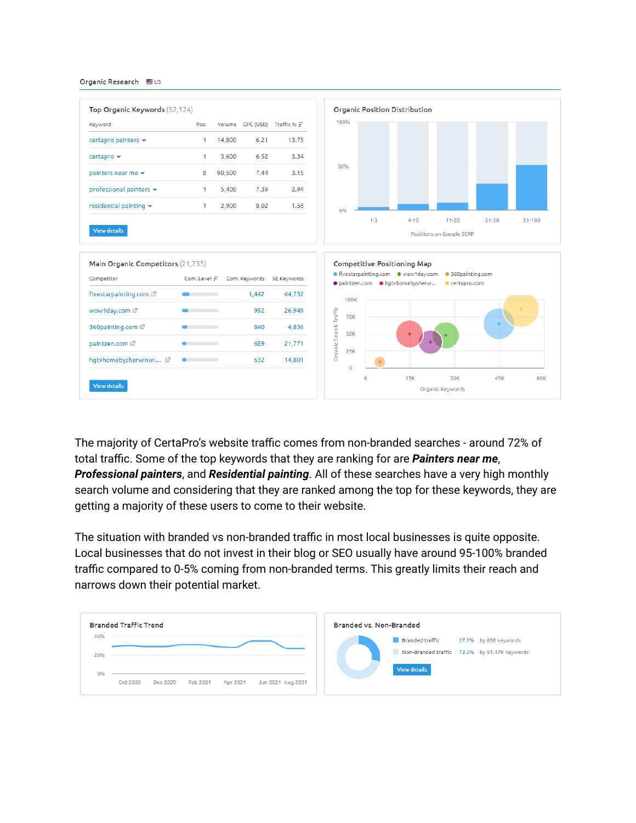

The majority of CertaPro's website traffic comes from non-branded searches - around 72% of total traffic. Some of the top keywords that they are ranking for are *Painters near me*, *Professional painters*, and *Residential painting*. All of these searches have a very high monthly search volume and considering that they are ranked among the top for these keywords, they are getting a majority of these users to come to their website.

The situation with branded vs non-branded traffic in most local businesses is quite opposite. Local businesses that do not invest in their blog or SEO usually have around 95-100% branded traffic compared to 0-5% coming from non-branded terms. This greatly limits their reach and narrows down their potential market.

| Branded Traffic Trend |                                                                   | Branded vs. Non-Branded                      |  |
|-----------------------|-------------------------------------------------------------------|----------------------------------------------|--|
| 40%                   |                                                                   | Branded traffic<br>27.7% by 658 keywords     |  |
| 20%                   |                                                                   | Non-Branded traffic 72.3% by 51.47K keywords |  |
| 0%                    |                                                                   | <b>View details</b>                          |  |
|                       | Feb 2021<br>Apr 2021<br>Oct 2020<br>Dec 2020<br>Jun 2021 Aug 2021 |                                              |  |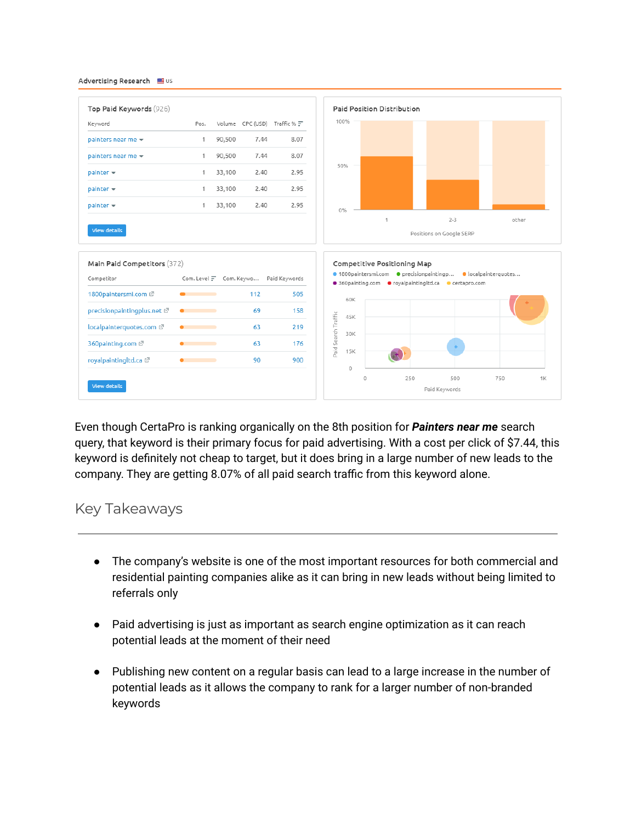

Even though CertaPro is ranking organically on the 8th position for *Painters near me* search query, that keyword is their primary focus for paid advertising. With a cost per click of \$7.44, this keyword is definitely not cheap to target, but it does bring in a large number of new leads to the company. They are getting 8.07% of all paid search traffic from this keyword alone.

#### Key Takeaways

- The company's website is one of the most important resources for both commercial and residential painting companies alike as it can bring in new leads without being limited to referrals only
- Paid advertising is just as important as search engine optimization as it can reach potential leads at the moment of their need
- Publishing new content on a regular basis can lead to a large increase in the number of potential leads as it allows the company to rank for a larger number of non-branded keywords